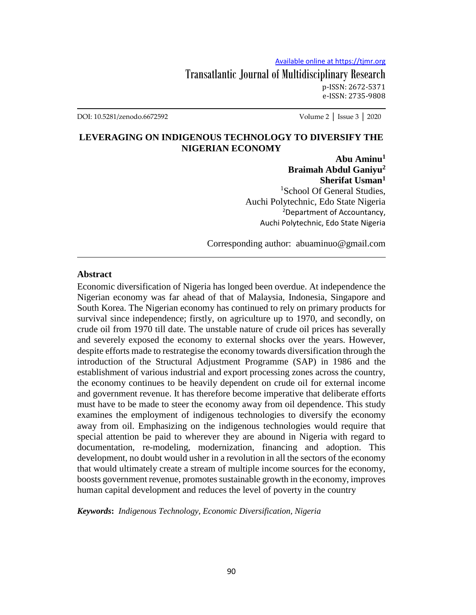Transatlantic Journal of Multidisciplinary Research p-ISSN: 2672-5371 e-ISSN: 2735-9808

DOI: 10.5281/zenodo.6672592 Volume 2 │ Issue 3 │ 2020

### **LEVERAGING ON INDIGENOUS TECHNOLOGY TO DIVERSIFY THE NIGERIAN ECONOMY**

**Abu Aminu<sup>1</sup> Braimah Abdul Ganiyu<sup>2</sup> Sherifat Usman<sup>1</sup>** <sup>1</sup>School Of General Studies. Auchi Polytechnic, Edo State Nigeria <sup>2</sup>Department of Accountancy, Auchi Polytechnic, Edo State Nigeria

Corresponding author: abuaminuo@gmail.com

#### **Abstract**

Economic diversification of Nigeria has longed been overdue. At independence the Nigerian economy was far ahead of that of Malaysia, Indonesia, Singapore and South Korea. The Nigerian economy has continued to rely on primary products for survival since independence; firstly, on agriculture up to 1970, and secondly, on crude oil from 1970 till date. The unstable nature of crude oil prices has severally and severely exposed the economy to external shocks over the years. However, despite efforts made to restrategise the economy towards diversification through the introduction of the Structural Adjustment Programme (SAP) in 1986 and the establishment of various industrial and export processing zones across the country, the economy continues to be heavily dependent on crude oil for external income and government revenue. It has therefore become imperative that deliberate efforts must have to be made to steer the economy away from oil dependence. This study examines the employment of indigenous technologies to diversify the economy away from oil. Emphasizing on the indigenous technologies would require that special attention be paid to wherever they are abound in Nigeria with regard to documentation, re-modeling, modernization, financing and adoption. This development, no doubt would usher in a revolution in all the sectors of the economy that would ultimately create a stream of multiple income sources for the economy, boosts government revenue, promotes sustainable growth in the economy, improves human capital development and reduces the level of poverty in the country

*Keywords***:** *Indigenous Technology, Economic Diversification, Nigeria*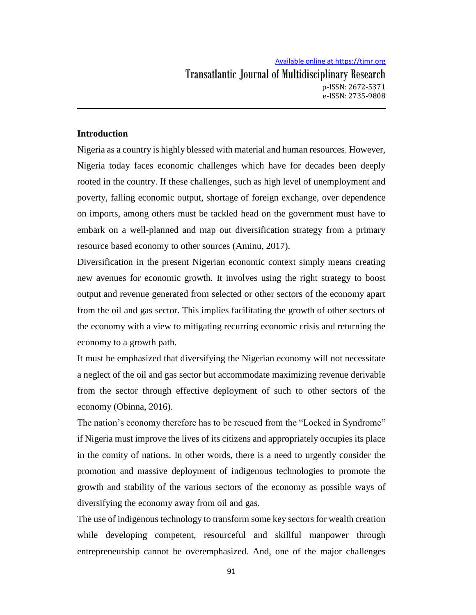### **Introduction**

Nigeria as a country is highly blessed with material and human resources. However, Nigeria today faces economic challenges which have for decades been deeply rooted in the country. If these challenges, such as high level of unemployment and poverty, falling economic output, shortage of foreign exchange, over dependence on imports, among others must be tackled head on the government must have to embark on a well-planned and map out diversification strategy from a primary resource based economy to other sources (Aminu, 2017).

Diversification in the present Nigerian economic context simply means creating new avenues for economic growth. It involves using the right strategy to boost output and revenue generated from selected or other sectors of the economy apart from the oil and gas sector. This implies facilitating the growth of other sectors of the economy with a view to mitigating recurring economic crisis and returning the economy to a growth path.

It must be emphasized that diversifying the Nigerian economy will not necessitate a neglect of the oil and gas sector but accommodate maximizing revenue derivable from the sector through effective deployment of such to other sectors of the economy (Obinna, 2016).

The nation's economy therefore has to be rescued from the "Locked in Syndrome" if Nigeria must improve the lives of its citizens and appropriately occupies its place in the comity of nations. In other words, there is a need to urgently consider the promotion and massive deployment of indigenous technologies to promote the growth and stability of the various sectors of the economy as possible ways of diversifying the economy away from oil and gas.

The use of indigenous technology to transform some key sectors for wealth creation while developing competent, resourceful and skillful manpower through entrepreneurship cannot be overemphasized. And, one of the major challenges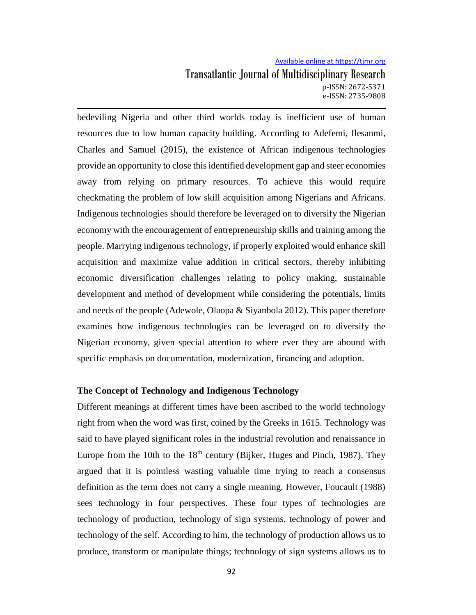bedeviling Nigeria and other third worlds today is inefficient use of human resources due to low human capacity building. According to Adefemi, Ilesanmi, Charles and Samuel (2015), the existence of African indigenous technologies provide an opportunity to close this identified development gap and steer economies away from relying on primary resources. To achieve this would require checkmating the problem of low skill acquisition among Nigerians and Africans. Indigenous technologies should therefore be leveraged on to diversify the Nigerian economy with the encouragement of entrepreneurship skills and training among the people. Marrying indigenous technology, if properly exploited would enhance skill acquisition and maximize value addition in critical sectors, thereby inhibiting economic diversification challenges relating to policy making, sustainable development and method of development while considering the potentials, limits and needs of the people (Adewole, Olaopa & Siyanbola 2012). This paper therefore examines how indigenous technologies can be leveraged on to diversify the Nigerian economy, given special attention to where ever they are abound with specific emphasis on documentation, modernization, financing and adoption.

### **The Concept of Technology and Indigenous Technology**

Different meanings at different times have been ascribed to the world technology right from when the word was first, coined by the Greeks in 1615. Technology was said to have played significant roles in the industrial revolution and renaissance in Europe from the 10th to the  $18<sup>th</sup>$  century (Bijker, Huges and Pinch, 1987). They argued that it is pointless wasting valuable time trying to reach a consensus definition as the term does not carry a single meaning. However, Foucault (1988) sees technology in four perspectives. These four types of technologies are technology of production, technology of sign systems, technology of power and technology of the self. According to him, the technology of production allows us to produce, transform or manipulate things; technology of sign systems allows us to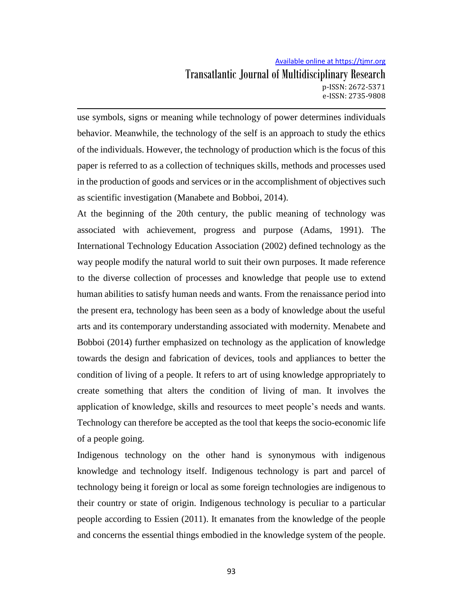Transatlantic Journal of Multidisciplinary Research p-ISSN: 2672-5371 e-ISSN: 2735-9808

use symbols, signs or meaning while technology of power determines individuals behavior. Meanwhile, the technology of the self is an approach to study the ethics of the individuals. However, the technology of production which is the focus of this paper is referred to as a collection of techniques skills, methods and processes used in the production of goods and services or in the accomplishment of objectives such as scientific investigation (Manabete and Bobboi, 2014).

At the beginning of the 20th century, the public meaning of technology was associated with achievement, progress and purpose (Adams, 1991). The International Technology Education Association (2002) defined technology as the way people modify the natural world to suit their own purposes. It made reference to the diverse collection of processes and knowledge that people use to extend human abilities to satisfy human needs and wants. From the renaissance period into the present era, technology has been seen as a body of knowledge about the useful arts and its contemporary understanding associated with modernity. Menabete and Bobboi (2014) further emphasized on technology as the application of knowledge towards the design and fabrication of devices, tools and appliances to better the condition of living of a people. It refers to art of using knowledge appropriately to create something that alters the condition of living of man. It involves the application of knowledge, skills and resources to meet people's needs and wants. Technology can therefore be accepted as the tool that keeps the socio-economic life of a people going.

Indigenous technology on the other hand is synonymous with indigenous knowledge and technology itself. Indigenous technology is part and parcel of technology being it foreign or local as some foreign technologies are indigenous to their country or state of origin. Indigenous technology is peculiar to a particular people according to Essien (2011). It emanates from the knowledge of the people and concerns the essential things embodied in the knowledge system of the people.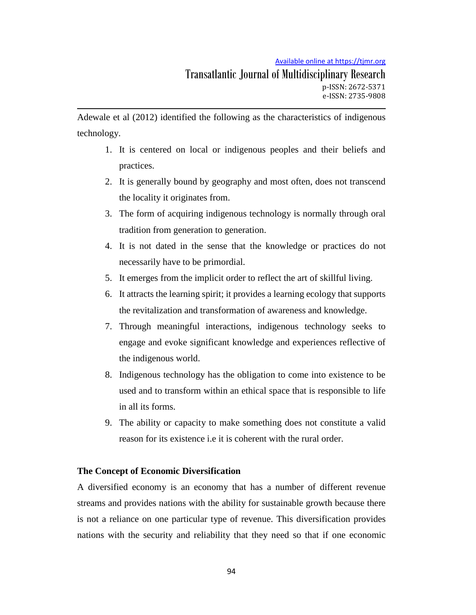Adewale et al (2012) identified the following as the characteristics of indigenous technology.

- 1. It is centered on local or indigenous peoples and their beliefs and practices.
- 2. It is generally bound by geography and most often, does not transcend the locality it originates from.
- 3. The form of acquiring indigenous technology is normally through oral tradition from generation to generation.
- 4. It is not dated in the sense that the knowledge or practices do not necessarily have to be primordial.
- 5. It emerges from the implicit order to reflect the art of skillful living.
- 6. It attracts the learning spirit; it provides a learning ecology that supports the revitalization and transformation of awareness and knowledge.
- 7. Through meaningful interactions, indigenous technology seeks to engage and evoke significant knowledge and experiences reflective of the indigenous world.
- 8. Indigenous technology has the obligation to come into existence to be used and to transform within an ethical space that is responsible to life in all its forms.
- 9. The ability or capacity to make something does not constitute a valid reason for its existence i.e it is coherent with the rural order.

### **The Concept of Economic Diversification**

A [diversified](https://www.reference.com/world-view/diversified-economy-55ce5506ad732b10) economy is an economy that has a number of different revenue streams and provides nations with the ability for sustainable growth because there is not a reliance on one particular type of revenue. This diversification provides nations with the security and reliability that they need so that if one economic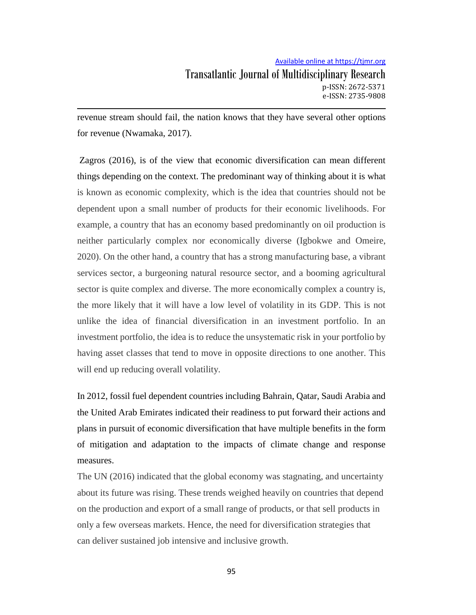revenue stream should fail, the nation knows that they have several other options for revenue (Nwamaka, 2017).

Zagros (2016), is of the view that economic diversification can mean different things depending on the context. The predominant way of thinking about it is what is known as economic complexity, which is the idea that countries should not be dependent upon a small number of products for their economic livelihoods. For example, a country that has an economy based predominantly on oil production is neither particularly complex nor economically diverse (Igbokwe and Omeire, 2020). On the other hand, a country that has a strong manufacturing base, a vibrant services sector, a burgeoning natural resource sector, and a booming agricultural sector is quite complex and diverse. The more economically complex a country is, the more likely that it will have a low level of volatility in its GDP. This is not unlike the idea of financial diversification in an investment portfolio. In an investment portfolio, the idea is to reduce the unsystematic risk in your portfolio by having asset classes that tend to move in opposite directions to one another. This will end up reducing overall volatility.

In 2012, fossil fuel dependent countries including Bahrain, Qatar, Saudi Arabia and the United Arab Emirates indicated their readiness to put forward their actions and plans in pursuit of economic diversification that have multiple benefits in the form of mitigation and adaptation to the impacts of climate change and response measures.

The UN (2016) indicated that the global economy was stagnating, and uncertainty about its future was rising. These trends weighed heavily on countries that depend on the production and export of a small range of products, or that sell products in only a few overseas markets. Hence, the need for diversification strategies that can deliver sustained job intensive and inclusive growth.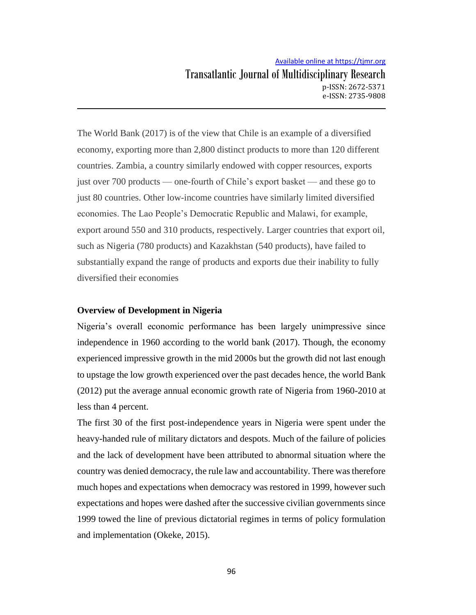The World Bank (2017) is of the view that Chile is an example of a diversified economy, exporting more than 2,800 distinct products to more than 120 different countries. Zambia, a country similarly endowed with copper resources, exports just over 700 products — one-fourth of Chile's export basket — and these go to just 80 countries. Other low-income countries have similarly limited diversified economies. The Lao People's Democratic Republic and Malawi, for example, export around 550 and 310 products, respectively. Larger countries that export oil, such as Nigeria (780 products) and Kazakhstan (540 products), have failed to substantially expand the range of products and exports due their inability to fully diversified their economies

### **Overview of Development in Nigeria**

Nigeria's overall economic performance has been largely unimpressive since independence in 1960 according to the world bank (2017). Though, the economy experienced impressive growth in the mid 2000s but the growth did not last enough to upstage the low growth experienced over the past decades hence, the world Bank (2012) put the average annual economic growth rate of Nigeria from 1960-2010 at less than 4 percent.

The first 30 of the first post-independence years in Nigeria were spent under the heavy-handed rule of military dictators and despots. Much of the failure of policies and the lack of development have been attributed to abnormal situation where the country was denied democracy, the rule law and accountability. There was therefore much hopes and expectations when democracy was restored in 1999, however such expectations and hopes were dashed after the successive civilian governments since 1999 towed the line of previous dictatorial regimes in terms of policy formulation and implementation (Okeke, 2015).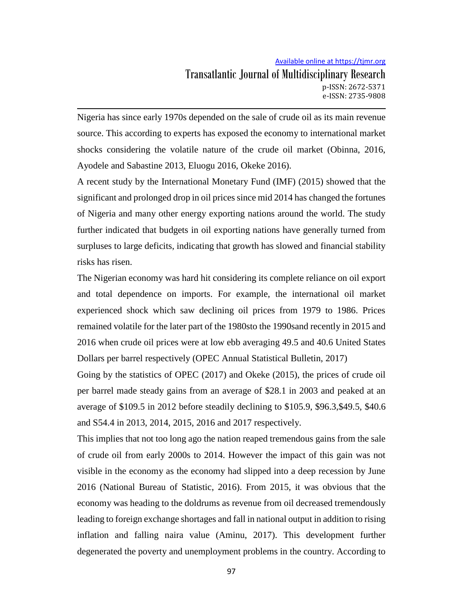Transatlantic Journal of Multidisciplinary Research p-ISSN: 2672-5371 e-ISSN: 2735-9808

Nigeria has since early 1970s depended on the sale of crude oil as its main revenue source. This according to experts has exposed the economy to international market shocks considering the volatile nature of the crude oil market (Obinna, 2016, Ayodele and Sabastine 2013, Eluogu 2016, Okeke 2016).

A recent study by the International Monetary Fund (IMF) (2015) showed that the significant and prolonged drop in oil prices since mid 2014 has changed the fortunes of Nigeria and many other energy exporting nations around the world. The study further indicated that budgets in oil exporting nations have generally turned from surpluses to large deficits, indicating that growth has slowed and financial stability risks has risen.

The Nigerian economy was hard hit considering its complete reliance on oil export and total dependence on imports. For example, the international oil market experienced shock which saw declining oil prices from 1979 to 1986. Prices remained volatile for the later part of the 1980sto the 1990sand recently in 2015 and 2016 when crude oil prices were at low ebb averaging 49.5 and 40.6 United States Dollars per barrel respectively (OPEC Annual Statistical Bulletin, 2017)

Going by the statistics of OPEC (2017) and Okeke (2015), the prices of crude oil per barrel made steady gains from an average of \$28.1 in 2003 and peaked at an average of \$109.5 in 2012 before steadily declining to \$105.9, \$96.3,\$49.5, \$40.6 and S54.4 in 2013, 2014, 2015, 2016 and 2017 respectively.

This implies that not too long ago the nation reaped tremendous gains from the sale of crude oil from early 2000s to 2014. However the impact of this gain was not visible in the economy as the economy had slipped into a deep recession by June 2016 (National Bureau of Statistic, 2016). From 2015, it was obvious that the economy was heading to the doldrums as revenue from oil decreased tremendously leading to foreign exchange shortages and fall in national output in addition to rising inflation and falling naira value (Aminu, 2017). This development further degenerated the poverty and unemployment problems in the country. According to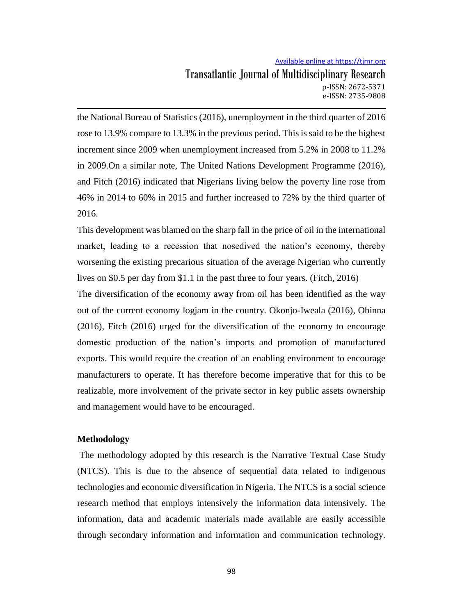the National Bureau of Statistics (2016), unemployment in the third quarter of 2016 rose to 13.9% compare to 13.3% in the previous period. This is said to be the highest increment since 2009 when unemployment increased from 5.2% in 2008 to 11.2% in 2009.On a similar note, The United Nations Development Programme (2016), and Fitch (2016) indicated that Nigerians living below the poverty line rose from 46% in 2014 to 60% in 2015 and further increased to 72% by the third quarter of 2016.

This development was blamed on the sharp fall in the price of oil in the international market, leading to a recession that nosedived the nation's economy, thereby worsening the existing precarious situation of the average Nigerian who currently lives on \$0.5 per day from \$1.1 in the past three to four years. (Fitch, 2016)

The diversification of the economy away from oil has been identified as the way out of the current economy logjam in the country. Okonjo-Iweala (2016), Obinna (2016), Fitch (2016) urged for the diversification of the economy to encourage domestic production of the nation's imports and promotion of manufactured exports. This would require the creation of an enabling environment to encourage manufacturers to operate. It has therefore become imperative that for this to be realizable, more involvement of the private sector in key public assets ownership and management would have to be encouraged.

#### **Methodology**

The methodology adopted by this research is the Narrative Textual Case Study (NTCS). This is due to the absence of sequential data related to indigenous technologies and economic diversification in Nigeria. The NTCS is a social science research method that employs intensively the information data intensively. The information, data and academic materials made available are easily accessible through secondary information and information and communication technology.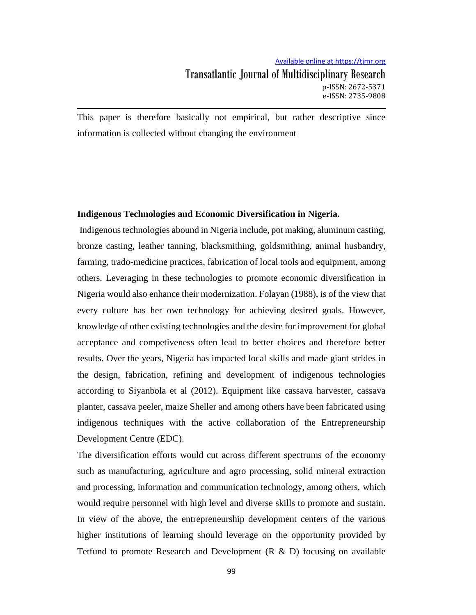This paper is therefore basically not empirical, but rather descriptive since information is collected without changing the environment

#### **Indigenous Technologies and Economic Diversification in Nigeria.**

Indigenous technologies abound in Nigeria include, pot making, aluminum casting, bronze casting, leather tanning, blacksmithing, goldsmithing, animal husbandry, farming, trado-medicine practices, fabrication of local tools and equipment, among others. Leveraging in these technologies to promote economic diversification in Nigeria would also enhance their modernization. Folayan (1988), is of the view that every culture has her own technology for achieving desired goals. However, knowledge of other existing technologies and the desire for improvement for global acceptance and competiveness often lead to better choices and therefore better results. Over the years, Nigeria has impacted local skills and made giant strides in the design, fabrication, refining and development of indigenous technologies according to Siyanbola et al (2012). Equipment like cassava harvester, cassava planter, cassava peeler, maize Sheller and among others have been fabricated using indigenous techniques with the active collaboration of the Entrepreneurship Development Centre (EDC).

The diversification efforts would cut across different spectrums of the economy such as manufacturing, agriculture and agro processing, solid mineral extraction and processing, information and communication technology, among others, which would require personnel with high level and diverse skills to promote and sustain. In view of the above, the entrepreneurship development centers of the various higher institutions of learning should leverage on the opportunity provided by Tetfund to promote Research and Development  $(R & D)$  focusing on available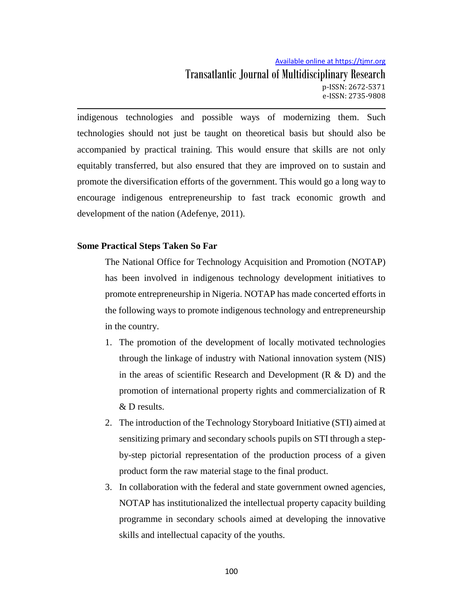indigenous technologies and possible ways of modernizing them. Such technologies should not just be taught on theoretical basis but should also be accompanied by practical training. This would ensure that skills are not only equitably transferred, but also ensured that they are improved on to sustain and promote the diversification efforts of the government. This would go a long way to encourage indigenous entrepreneurship to fast track economic growth and development of the nation (Adefenye, 2011).

### **Some Practical Steps Taken So Far**

The National Office for Technology Acquisition and Promotion (NOTAP) has been involved in indigenous technology development initiatives to promote entrepreneurship in Nigeria. NOTAP has made concerted efforts in the following ways to promote indigenous technology and entrepreneurship in the country.

- 1. The promotion of the development of locally motivated technologies through the linkage of industry with National innovation system (NIS) in the areas of scientific Research and Development  $(R \& D)$  and the promotion of international property rights and commercialization of R & D results.
- 2. The introduction of the Technology Storyboard Initiative (STI) aimed at sensitizing primary and secondary schools pupils on STI through a stepby-step pictorial representation of the production process of a given product form the raw material stage to the final product.
- 3. In collaboration with the federal and state government owned agencies, NOTAP has institutionalized the intellectual property capacity building programme in secondary schools aimed at developing the innovative skills and intellectual capacity of the youths.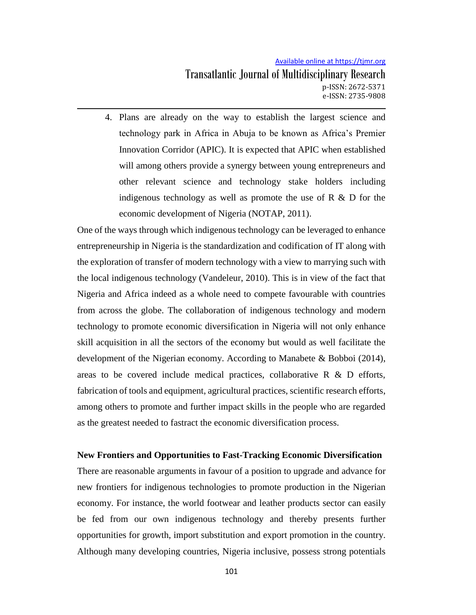4. Plans are already on the way to establish the largest science and technology park in Africa in Abuja to be known as Africa's Premier Innovation Corridor (APIC). It is expected that APIC when established will among others provide a synergy between young entrepreneurs and other relevant science and technology stake holders including indigenous technology as well as promote the use of  $R \& D$  for the economic development of Nigeria (NOTAP, 2011).

One of the ways through which indigenous technology can be leveraged to enhance entrepreneurship in Nigeria is the standardization and codification of IT along with the exploration of transfer of modern technology with a view to marrying such with the local indigenous technology (Vandeleur, 2010). This is in view of the fact that Nigeria and Africa indeed as a whole need to compete favourable with countries from across the globe. The collaboration of indigenous technology and modern technology to promote economic diversification in Nigeria will not only enhance skill acquisition in all the sectors of the economy but would as well facilitate the development of the Nigerian economy. According to Manabete & Bobboi (2014), areas to be covered include medical practices, collaborative  $R \& D$  efforts, fabrication of tools and equipment, agricultural practices, scientific research efforts, among others to promote and further impact skills in the people who are regarded as the greatest needed to fastract the economic diversification process.

#### **New Frontiers and Opportunities to Fast-Tracking Economic Diversification**

There are reasonable arguments in favour of a position to upgrade and advance for new frontiers for indigenous technologies to promote production in the Nigerian economy. For instance, the world footwear and leather products sector can easily be fed from our own indigenous technology and thereby presents further opportunities for growth, import substitution and export promotion in the country. Although many developing countries, Nigeria inclusive, possess strong potentials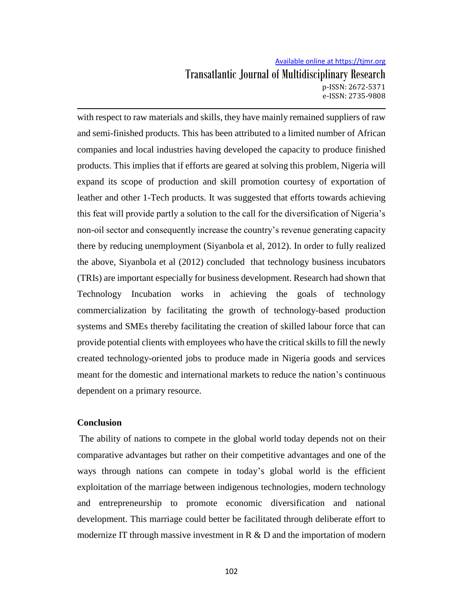with respect to raw materials and skills, they have mainly remained suppliers of raw and semi-finished products. This has been attributed to a limited number of African companies and local industries having developed the capacity to produce finished products. This implies that if efforts are geared at solving this problem, Nigeria will expand its scope of production and skill promotion courtesy of exportation of leather and other 1-Tech products. It was suggested that efforts towards achieving this feat will provide partly a solution to the call for the diversification of Nigeria's non-oil sector and consequently increase the country's revenue generating capacity there by reducing unemployment (Siyanbola et al, 2012). In order to fully realized the above, Siyanbola et al (2012) concluded that technology business incubators (TRIs) are important especially for business development. Research had shown that Technology Incubation works in achieving the goals of technology commercialization by facilitating the growth of technology-based production systems and SMEs thereby facilitating the creation of skilled labour force that can provide potential clients with employees who have the critical skills to fill the newly created technology-oriented jobs to produce made in Nigeria goods and services meant for the domestic and international markets to reduce the nation's continuous dependent on a primary resource.

#### **Conclusion**

The ability of nations to compete in the global world today depends not on their comparative advantages but rather on their competitive advantages and one of the ways through nations can compete in today's global world is the efficient exploitation of the marriage between indigenous technologies, modern technology and entrepreneurship to promote economic diversification and national development. This marriage could better be facilitated through deliberate effort to modernize IT through massive investment in R & D and the importation of modern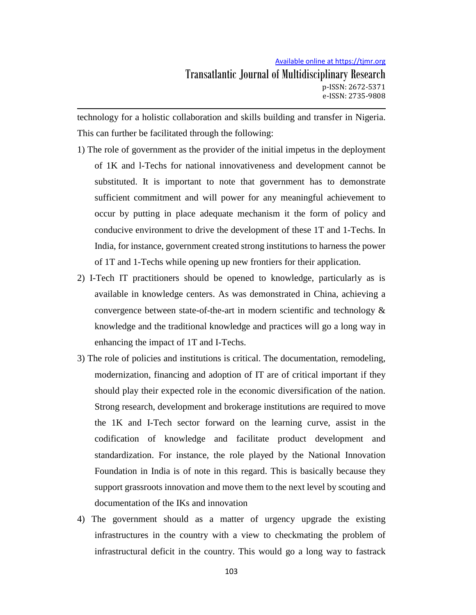technology for a holistic collaboration and skills building and transfer in Nigeria. This can further be facilitated through the following:

- 1) The role of government as the provider of the initial impetus in the deployment of 1K and l-Techs for national innovativeness and development cannot be substituted. It is important to note that government has to demonstrate sufficient commitment and will power for any meaningful achievement to occur by putting in place adequate mechanism it the form of policy and conducive environment to drive the development of these 1T and 1-Techs. In India, for instance, government created strong institutions to harness the power of 1T and 1-Techs while opening up new frontiers for their application.
- 2) I-Tech IT practitioners should be opened to knowledge, particularly as is available in knowledge centers. As was demonstrated in China, achieving a convergence between state-of-the-art in modern scientific and technology  $\&$ knowledge and the traditional knowledge and practices will go a long way in enhancing the impact of 1T and I-Techs.
- 3) The role of policies and institutions is critical. The documentation, remodeling, modernization, financing and adoption of IT are of critical important if they should play their expected role in the economic diversification of the nation. Strong research, development and brokerage institutions are required to move the 1K and I-Tech sector forward on the learning curve, assist in the codification of knowledge and facilitate product development and standardization. For instance, the role played by the National Innovation Foundation in India is of note in this regard. This is basically because they support grassroots innovation and move them to the next level by scouting and documentation of the IKs and innovation
- 4) The government should as a matter of urgency upgrade the existing infrastructures in the country with a view to checkmating the problem of infrastructural deficit in the country. This would go a long way to fastrack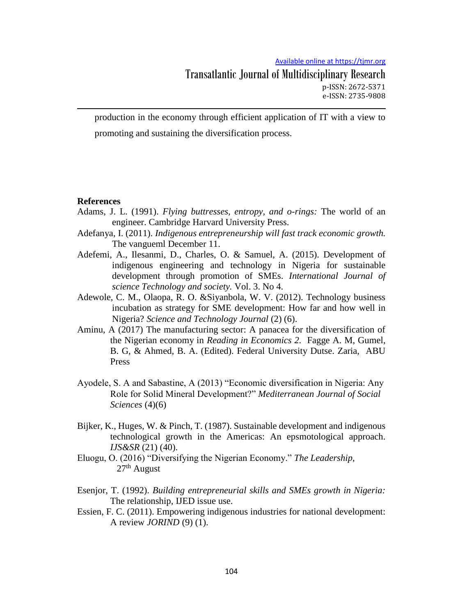Transatlantic Journal of Multidisciplinary Research p-ISSN: 2672-5371 e-ISSN: 2735-9808

production in the economy through efficient application of IT with a view to promoting and sustaining the diversification process.

#### **References**

- Adams, J. L. (1991). *Flying buttresses, entropy, and o-rings:* The world of an engineer. Cambridge Harvard University Press.
- Adefanya, I. (2011). *Indigenous entrepreneurship will fast track economic growth.* The vangueml December 11.
- Adefemi, A., Ilesanmi, D., Charles, O. & Samuel, A. (2015). Development of indigenous engineering and technology in Nigeria for sustainable development through promotion of SMEs. *International Journal of science Technology and society.* Vol. 3. No 4.
- Adewole, C. M., Olaopa, R. O. &Siyanbola, W. V. (2012). Technology business incubation as strategy for SME development: How far and how well in Nigeria? *Science and Technology Journal* (2) (6).
- Aminu, A (2017) The manufacturing sector: A panacea for the diversification of the Nigerian economy in *Reading in Economics 2.* Fagge A. M, Gumel, B. G, & Ahmed, B. A. (Edited). Federal University Dutse. Zaria, ABU Press
- Ayodele, S. A and Sabastine, A (2013) "Economic diversification in Nigeria: Any Role for Solid Mineral Development?" *Mediterranean Journal of Social Sciences* (4)(6)
- Bijker, K., Huges, W. & Pinch, T. (1987). Sustainable development and indigenous technological growth in the Americas: An epsmotological approach. *IJS&SR* (21) (40).
- Eluogu, O. (2016) "Diversifying the Nigerian Economy." *The Leadership,*  $27<sup>th</sup>$  August
- Esenjor, T. (1992). *Building entrepreneurial skills and SMEs growth in Nigeria:* The relationship, IJED issue use.
- Essien, F. C. (2011). Empowering indigenous industries for national development: A review *JORIND* (9) (1).